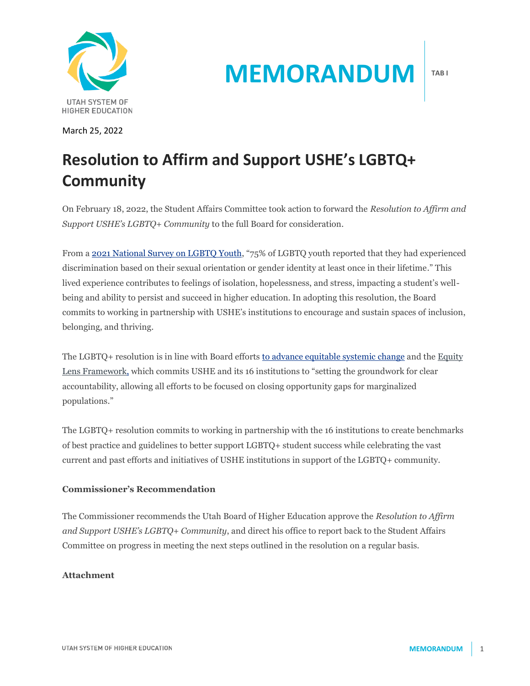

March 25, 2022

# **MEMORANDUM**

**TAB I**

## **Resolution to Affirm and Support USHE's LGBTQ+ Community**

On February 18, 2022, the Student Affairs Committee took action to forward the *Resolution to Affirm and Support USHE's LGBTQ+ Community* to the full Board for consideration.

From a [2021 National Survey on LGBTQ Youth,](https://www.thetrevorproject.org/wp-content/uploads/2021/05/The-Trevor-Project-National-Survey-Results-2021.pdf) "75% of LGBTQ youth reported that they had experienced discrimination based on their sexual orientation or gender identity at least once in their lifetime." This lived experience contributes to feelings of isolation, hopelessness, and stress, impacting a student's wellbeing and ability to persist and succeed in higher education. In adopting this resolution, the Board commits to working in partnership with USHE's institutions to encourage and sustain spaces of inclusion, belonging, and thriving.

The LGBTQ+ resolution is in line with Board efforts [to advance equitable systemic change](https://ushe.edu/wp-content/uploads/pdf/edi/2020_Equity_Resolution.pdf) and the [Equity](https://ushe.edu/wp-content/uploads/pdf/edi/20201218_USHE_Equity_Lens_Framework.pdf)  [Lens Framework,](https://ushe.edu/wp-content/uploads/pdf/edi/20201218_USHE_Equity_Lens_Framework.pdf) which commits USHE and its 16 institutions to "setting the groundwork for clear accountability, allowing all efforts to be focused on closing opportunity gaps for marginalized populations."

The LGBTQ+ resolution commits to working in partnership with the 16 institutions to create benchmarks of best practice and guidelines to better support LGBTQ+ student success while celebrating the vast current and past efforts and initiatives of USHE institutions in support of the LGBTQ+ community.

### **Commissioner's Recommendation**

The Commissioner recommends the Utah Board of Higher Education approve the *Resolution to Affirm and Support USHE's LGBTQ+ Community*, and direct his office to report back to the Student Affairs Committee on progress in meeting the next steps outlined in the resolution on a regular basis.

### **Attachment**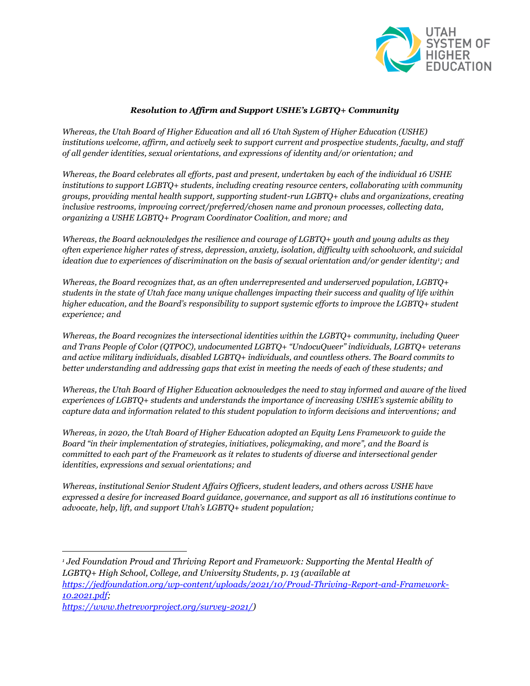

#### *Resolution to Affirm and Support USHE's LGBTQ+ Community*

*Whereas, the Utah Board of Higher Education and all 16 Utah System of Higher Education (USHE) institutions welcome, affirm, and actively seek to support current and prospective students, faculty, and staff of all gender identities, sexual orientations, and expressions of identity and/or orientation; and*

*Whereas, the Board celebrates all efforts, past and present, undertaken by each of the individual 16 USHE institutions to support LGBTQ+ students, including creating resource centers, collaborating with community groups, providing mental health support, supporting student-run LGBTQ+ clubs and organizations, creating inclusive restrooms, improving correct/preferred/chosen name and pronoun processes, collecting data, organizing a USHE LGBTQ+ Program Coordinator Coalition, and more; and*

*Whereas, the Board acknowledges the resilience and courage of LGBTQ+ youth and young adults as they often experience higher rates of stress, depression, anxiety, isolation, difficulty with schoolwork, and suicidal ideation due to experiences of discrimination on the basis of sexual orientation and/or gender identity1; and*

*Whereas, the Board recognizes that, as an often underrepresented and underserved population, LGBTQ+ students in the state of Utah face many unique challenges impacting their success and quality of life within higher education, and the Board's responsibility to support systemic efforts to improve the LGBTQ+ student experience; and*

*Whereas, the Board recognizes the intersectional identities within the LGBTQ+ community, including Queer and Trans People of Color (QTPOC), undocumented LGBTQ+ "UndocuQueer" individuals, LGBTQ+ veterans and active military individuals, disabled LGBTQ+ individuals, and countless others. The Board commits to better understanding and addressing gaps that exist in meeting the needs of each of these students; and*

*Whereas, the Utah Board of Higher Education acknowledges the need to stay informed and aware of the lived experiences of LGBTQ+ students and understands the importance of increasing USHE's systemic ability to capture data and information related to this student population to inform decisions and interventions; and*

*Whereas, in 2020, the Utah Board of Higher Education adopted an Equity Lens Framework to guide the Board "in their implementation of strategies, initiatives, policymaking, and more", and the Board is committed to each part of the Framework as it relates to students of diverse and intersectional gender identities, expressions and sexual orientations; and*

*Whereas, institutional Senior Student Affairs Officers, student leaders, and others across USHE have expressed a desire for increased Board guidance, governance, and support as all 16 institutions continue to advocate, help, lift, and support Utah's LGBTQ+ student population;*

*[https://www.thetrevorproject.org/survey-2021/\)](https://www.thetrevorproject.org/survey-2021/)*

*<sup>1</sup> Jed Foundation Proud and Thriving Report and Framework: Supporting the Mental Health of LGBTQ+ High School, College, and University Students, p. 13 (available at [https://jedfoundation.org/wp-content/uploads/2021/10/Proud-Thriving-Report-and-Framework-](https://jedfoundation.org/wp-content/uploads/2021/10/Proud-Thriving-Report-and-Framework-10.2021.pdf)[10.2021.pdf;](https://jedfoundation.org/wp-content/uploads/2021/10/Proud-Thriving-Report-and-Framework-10.2021.pdf)*